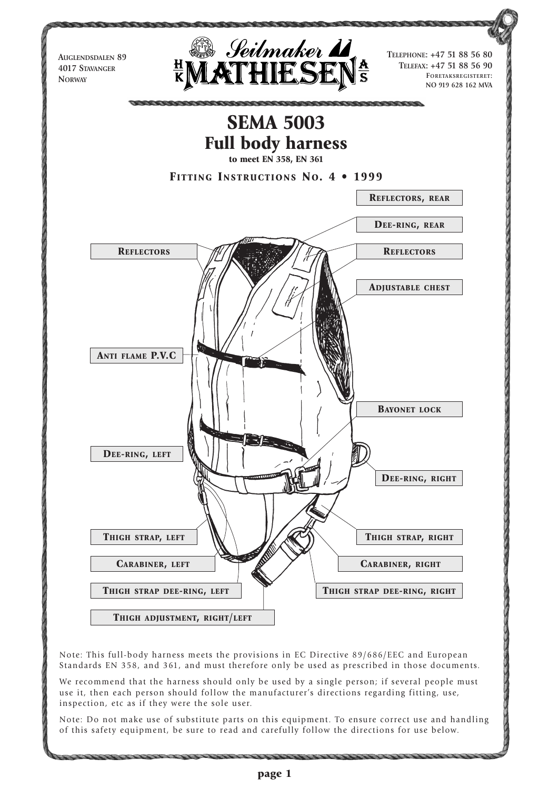

Note: This full-body harness meets the provisions in EC Directive 89/686/EEC and European Standards EN 358, and 361, and must therefore only be used as prescribed in those documents.

We recommend that the harness should only be used by a single person; if several people must use it, then each person should follow the manufacturer's directions regarding fitting, use, inspection, etc as if they were the sole user.

Note: Do not make use of substitute parts on this equipment. To ensure correct use and handling of this safety equipment, be sure to read and carefully follow the directions for use below.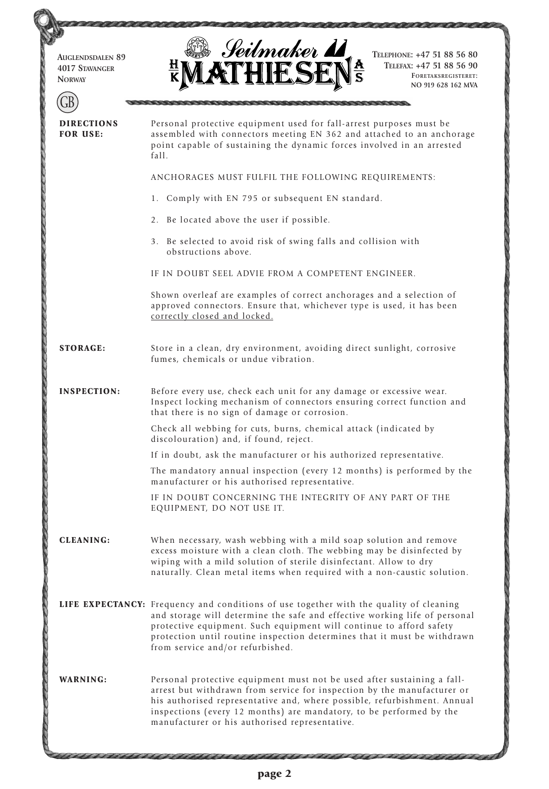| <b>AUGLENDSDALEN 89</b><br><b>4017 STAVANGER</b><br><b>NORWAY</b> | Seilmaker <b>11</b><br>TELEPHONE: +47 51 88 56 80<br>TELEFAX: +47 51 88 56 90<br>FORETAKSREGISTERET:<br>NO 919 628 162 MVA                                                                                                                                                                                                                                  |  |  |  |  |  |  |  |  |  |
|-------------------------------------------------------------------|-------------------------------------------------------------------------------------------------------------------------------------------------------------------------------------------------------------------------------------------------------------------------------------------------------------------------------------------------------------|--|--|--|--|--|--|--|--|--|
|                                                                   |                                                                                                                                                                                                                                                                                                                                                             |  |  |  |  |  |  |  |  |  |
| <b>DIRECTIONS</b><br><b>FOR USE:</b>                              | Personal protective equipment used for fall-arrest purposes must be<br>assembled with connectors meeting EN 362 and attached to an anchorage<br>point capable of sustaining the dynamic forces involved in an arrested<br>fall.                                                                                                                             |  |  |  |  |  |  |  |  |  |
|                                                                   | ANCHORAGES MUST FULFIL THE FOLLOWING REQUIREMENTS:                                                                                                                                                                                                                                                                                                          |  |  |  |  |  |  |  |  |  |
|                                                                   | 1. Comply with EN 795 or subsequent EN standard.                                                                                                                                                                                                                                                                                                            |  |  |  |  |  |  |  |  |  |
|                                                                   | 2. Be located above the user if possible.                                                                                                                                                                                                                                                                                                                   |  |  |  |  |  |  |  |  |  |
|                                                                   | 3. Be selected to avoid risk of swing falls and collision with<br>obstructions above.                                                                                                                                                                                                                                                                       |  |  |  |  |  |  |  |  |  |
|                                                                   | IF IN DOUBT SEEL ADVIE FROM A COMPETENT ENGINEER.                                                                                                                                                                                                                                                                                                           |  |  |  |  |  |  |  |  |  |
|                                                                   | Shown overleaf are examples of correct anchorages and a selection of<br>approved connectors. Ensure that, whichever type is used, it has been<br>correctly closed and locked.                                                                                                                                                                               |  |  |  |  |  |  |  |  |  |
| <b>STORAGE:</b>                                                   | Store in a clean, dry environment, avoiding direct sunlight, corrosive<br>fumes, chemicals or undue vibration.                                                                                                                                                                                                                                              |  |  |  |  |  |  |  |  |  |
| <b>INSPECTION:</b>                                                | Before every use, check each unit for any damage or excessive wear.<br>Inspect locking mechanism of connectors ensuring correct function and<br>that there is no sign of damage or corrosion.                                                                                                                                                               |  |  |  |  |  |  |  |  |  |
|                                                                   | Check all webbing for cuts, burns, chemical attack (indicated by<br>discolouration) and, if found, reject.                                                                                                                                                                                                                                                  |  |  |  |  |  |  |  |  |  |
|                                                                   | If in doubt, ask the manufacturer or his authorized representative.                                                                                                                                                                                                                                                                                         |  |  |  |  |  |  |  |  |  |
|                                                                   | The mandatory annual inspection (every 12 months) is performed by the<br>manufacturer or his authorised representative.                                                                                                                                                                                                                                     |  |  |  |  |  |  |  |  |  |
|                                                                   | IF IN DOUBT CONCERNING THE INTEGRITY OF ANY PART OF THE<br>EQUIPMENT, DO NOT USE IT.                                                                                                                                                                                                                                                                        |  |  |  |  |  |  |  |  |  |
| <b>CLEANING:</b>                                                  | When necessary, wash webbing with a mild soap solution and remove<br>excess moisture with a clean cloth. The webbing may be disinfected by<br>wiping with a mild solution of sterile disinfectant. Allow to dry<br>naturally. Clean metal items when required with a non-caustic solution.                                                                  |  |  |  |  |  |  |  |  |  |
|                                                                   | LIFE EXPECTANCY: Frequency and conditions of use together with the quality of cleaning<br>and storage will determine the safe and effective working life of personal<br>protective equipment. Such equipment will continue to afford safety<br>protection until routine inspection determines that it must be withdrawn<br>from service and/or refurbished. |  |  |  |  |  |  |  |  |  |
| <b>WARNING:</b>                                                   | Personal protective equipment must not be used after sustaining a fall-<br>arrest but withdrawn from service for inspection by the manufacturer or<br>his authorised representative and, where possible, refurbishment. Annual<br>inspections (every 12 months) are mandatory, to be performed by the<br>manufacturer or his authorised representative.     |  |  |  |  |  |  |  |  |  |

11111111111111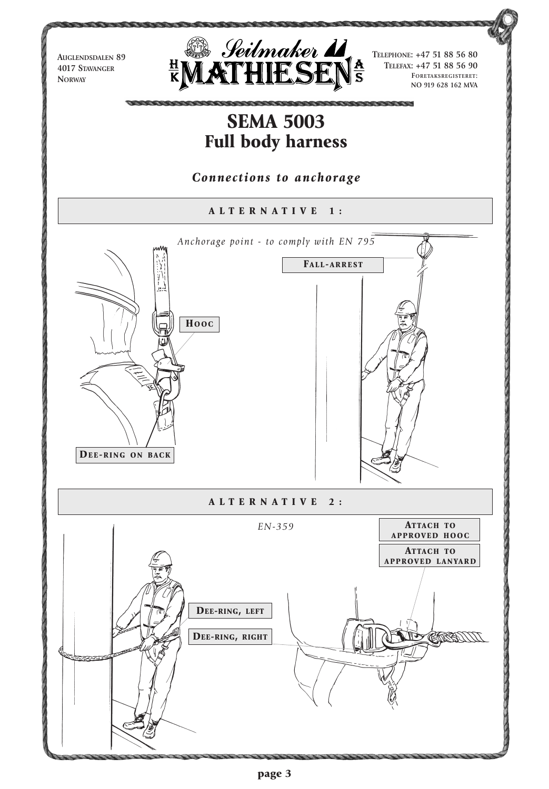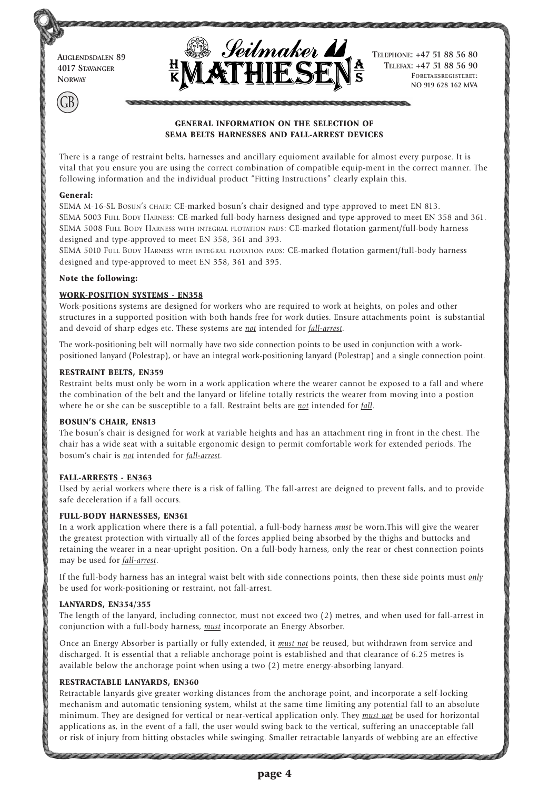**AUGLENDSDALEN 89 4017 STAVANGER NORWAY**



**TELEPHONE: +47 51 88 56 80 TELEFAX: +47 51 88 56 90 FORETAKSREGISTERET: NO 919 628 162 MVA**

# **GENERAL INFORMATION ON THE SELECTION OF SEMA BELTS HARNESSES AND FALL-ARREST DEVICES**

There is a range of restraint belts, harnesses and ancillary equioment available for almost every purpose. It is vital that you ensure you are using the correct combination of compatible equip-ment in the correct manner. The following information and the individual product "Fitting Instructions" clearly explain this.

#### **General:**

GB

SEMA M-16-SL BOSUN'S CHAIR: CE-marked bosun's chair designed and type-approved to meet EN 813. SEMA 5003 FULL BODY HARNESS: CE-marked full-body harness designed and type-approved to meet EN 358 and 361. SEMA 5008 FULL BODY HARNESS WITH INTEGRAL FLOTATION PADS: CE-marked flotation garment/full-body harness designed and type-approved to meet EN 358, 361 and 393.

SEMA 5010 FULL BODY HARNESS WITH INTEGRAL FLOTATION PADS: CE-marked flotation garment/full-body harness designed and type-approved to meet EN 358, 361 and 395.

#### **Note the following:**

### **WORK-POSITION SYSTEMS - EN358**

Work-positions systems are designed for workers who are required to work at heights, on poles and other structures in a supported position with both hands free for work duties. Ensure attachments point is substantial and devoid of sharp edges etc. These systems are *not* intended for *fall-arrest.*

The work-positioning belt will normally have two side connection points to be used in conjunction with a workpositioned lanyard (Polestrap), or have an integral work-positioning lanyard (Polestrap) and a single connection point.

## **RESTRAINT BELTS, EN359**

Restraint belts must only be worn in a work application where the wearer cannot be exposed to a fall and where the combination of the belt and the lanyard or lifeline totally restricts the wearer from moving into a postion where he or she can be susceptible to a fall. Restraint belts are *not* intended for *fall.*

### **BOSUN'S CHAIR, EN813**

The bosun's chair is designed for work at variable heights and has an attachment ring in front in the chest. The chair has a wide seat with a suitable ergonomic design to permit comfortable work for extended periods. The bosum's chair is *not* intended for *fall-arrest.*

### **FALL-ARRESTS - EN363**

Used by aerial workers where there is a risk of falling. The fall-arrest are deigned to prevent falls, and to provide safe deceleration if a fall occurs.

### **FULL-BODY HARNESSES, EN361**

In a work application where there is a fall potential, a full-body harness *must* be worn.This will give the wearer the greatest protection with virtually all of the forces applied being absorbed by the thighs and buttocks and retaining the wearer in a near-upright position. On a full-body harness, only the rear or chest connection points may be used for *fall-arrest*.

If the full-body harness has an integral waist belt with side connections points, then these side points must *only* be used for work-positioning or restraint, not fall-arrest.

### **LANYARDS, EN354/355**

The length of the lanyard, including connector, must not exceed two (2) metres, and when used for fall-arrest in conjunction with a full-body harness, *must* incorporate an Energy Absorber.

Once an Energy Absorber is partially or fully extended, it *must not* be reused, but withdrawn from service and discharged. It is essential that a reliable anchorage point is established and that clearance of 6.25 metres is available below the anchorage point when using a two (2) metre energy-absorbing lanyard.

### **RESTRACTABLE LANYARDS, EN360**

Retractable lanyards give greater working distances from the anchorage point, and incorporate a self-locking mechanism and automatic tensioning system, whilst at the same time limiting any potential fall to an absolute minimum. They are designed for vertical or near-vertical application only. They *must not* be used for horizontal applications as, in the event of a fall, the user would swing back to the vertical, suffering an unacceptable fall or risk of injury from hitting obstacles while swinging. Smaller retractable lanyards of webbing are an effective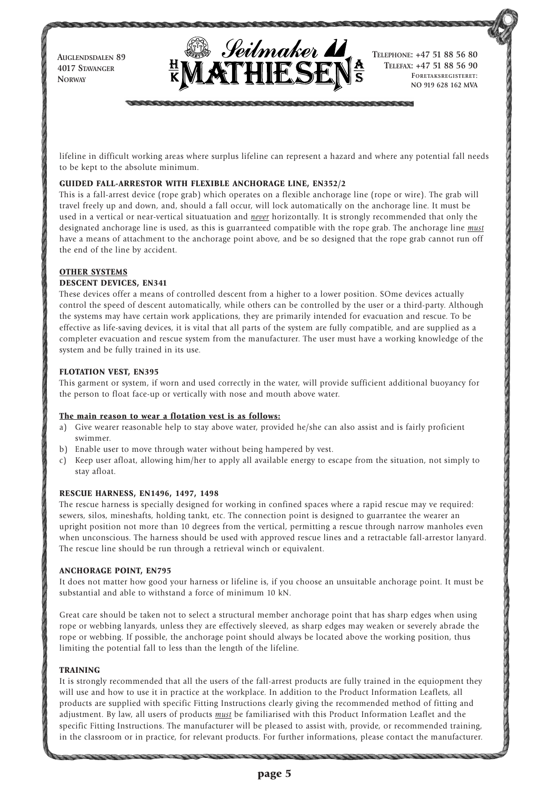**AUGLENDSDALEN 89 4017 STAVANGER NORWAY**



**TELEPHONE: +47 51 88 56 80 TELEFAX: +47 51 88 56 90 FORETAKSREGISTERET: NO 919 628 162 MVA**

lifeline in difficult working areas where surplus lifeline can represent a hazard and where any potential fall needs to be kept to the absolute minimum.

### **GUIDED FALL-ARRESTOR WITH FLEXIBLE ANCHORAGE LINE, EN352/2**

This is a fall-arrest device (rope grab) which operates on a flexible anchorage line (rope or wire). The grab will travel freely up and down, and, should a fall occur, will lock automatically on the anchorage line. It must be used in a vertical or near-vertical situatuation and *never* horizontally. It is strongly recommended that only the designated anchorage line is used, as this is guarranteed compatible with the rope grab. The anchorage line *must* have a means of attachment to the anchorage point above, and be so designed that the rope grab cannot run off the end of the line by accident.

## **OTHER SYSTEMS**

## **DESCENT DEVICES, EN341**

These devices offer a means of controlled descent from a higher to a lower position. SOme devices actually control the speed of descent automatically, while others can be controlled by the user or a third-party. Although the systems may have certain work applications, they are primarily intended for evacuation and rescue. To be effective as life-saving devices, it is vital that all parts of the system are fully compatible, and are supplied as a completer evacuation and rescue system from the manufacturer. The user must have a working knowledge of the system and be fully trained in its use.

## **FLOTATION VEST, EN395**

This garment or system, if worn and used correctly in the water, will provide sufficient additional buoyancy for the person to float face-up or vertically with nose and mouth above water.

### **The main reason to wear a flotation vest is as follows:**

- a) Give wearer reasonable help to stay above water, provided he/she can also assist and is fairly proficient swimmer.
- b) Enable user to move through water without being hampered by vest.
- c) Keep user afloat, allowing him/her to apply all available energy to escape from the situation, not simply to stay afloat.

### **RESCUE HARNESS, EN1496, 1497, 1498**

The rescue harness is specially designed for working in confined spaces where a rapid rescue may ve required: sewers, silos, mineshafts, holding tankt, etc. The connection point is designed to guarrantee the wearer an upright position not more than 10 degrees from the vertical, permitting a rescue through narrow manholes even when unconscious. The harness should be used with approved rescue lines and a retractable fall-arrestor lanyard. The rescue line should be run through a retrieval winch or equivalent.

### **ANCHORAGE POINT, EN795**

It does not matter how good your harness or lifeline is, if you choose an unsuitable anchorage point. It must be substantial and able to withstand a force of minimum 10 kN.

Great care should be taken not to select a structural member anchorage point that has sharp edges when using rope or webbing lanyards, unless they are effectively sleeved, as sharp edges may weaken or severely abrade the rope or webbing. If possible, the anchorage point should always be located above the working position, thus limiting the potential fall to less than the length of the lifeline.

### **TRAINING**

It is strongly recommended that all the users of the fall-arrest products are fully trained in the equiopment they will use and how to use it in practice at the workplace. In addition to the Product Information Leaflets, all products are supplied with specific Fitting Instructions clearly giving the recommended method of fitting and adjustment. By law, all users of products *must* be familiarised with this Product Information Leaflet and the specific Fitting Instructions. The manufacturer will be pleased to assist with, provide, or recommended training, in the classroom or in practice, for relevant products. For further informations, please contact the manufacturer.